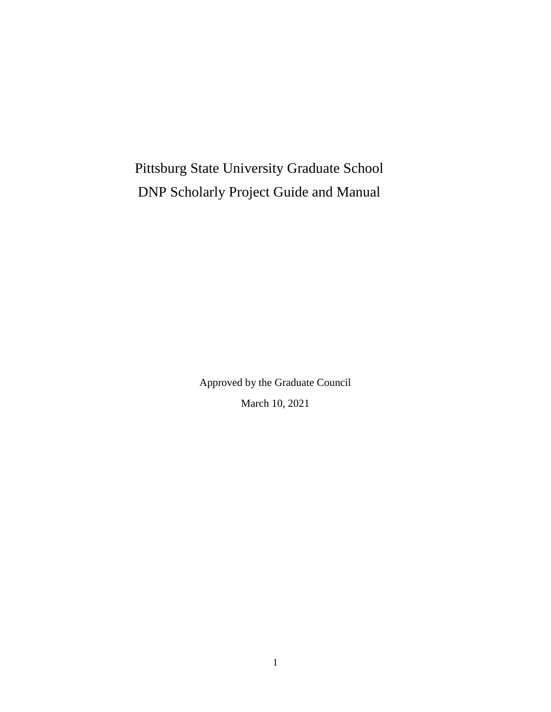Pittsburg State University Graduate School DNP Scholarly Project Guide and Manual

> Approved by the Graduate Council March 10, 2021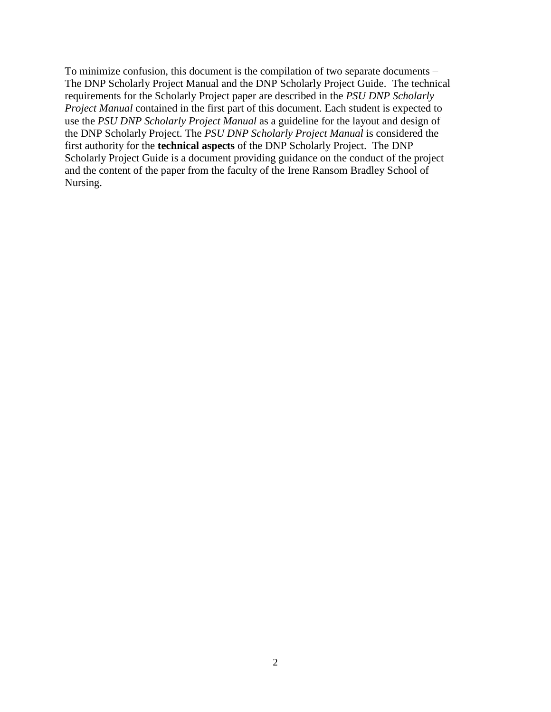To minimize confusion, this document is the compilation of two separate documents – The DNP Scholarly Project Manual and the DNP Scholarly Project Guide. The technical requirements for the Scholarly Project paper are described in the *PSU DNP Scholarly Project Manual* contained in the first part of this document. Each student is expected to use the *PSU DNP Scholarly Project Manual* as a guideline for the layout and design of the DNP Scholarly Project. The *PSU DNP Scholarly Project Manual* is considered the first authority for the **technical aspects** of the DNP Scholarly Project. The DNP Scholarly Project Guide is a document providing guidance on the conduct of the project and the content of the paper from the faculty of the Irene Ransom Bradley School of Nursing.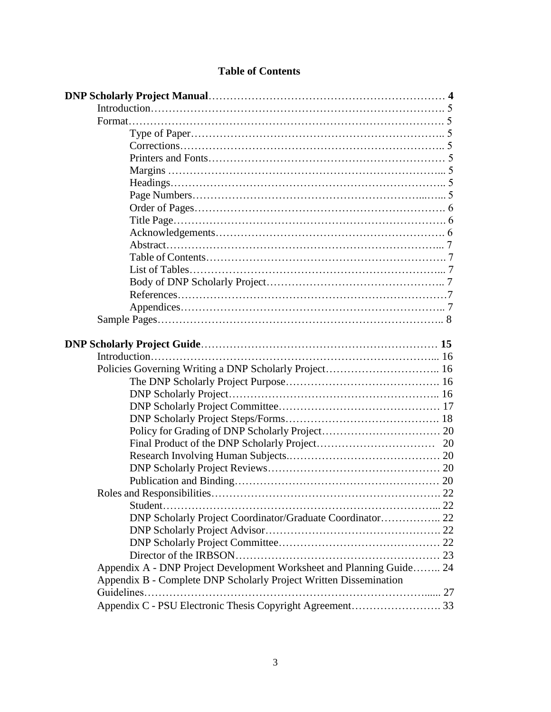| DNP Scholarly Project Coordinator/Graduate Coordinator 22            |  |
|----------------------------------------------------------------------|--|
|                                                                      |  |
|                                                                      |  |
|                                                                      |  |
| Appendix A - DNP Project Development Worksheet and Planning Guide 24 |  |
| Appendix B - Complete DNP Scholarly Project Written Dissemination    |  |
|                                                                      |  |
|                                                                      |  |

# **Table of Contents**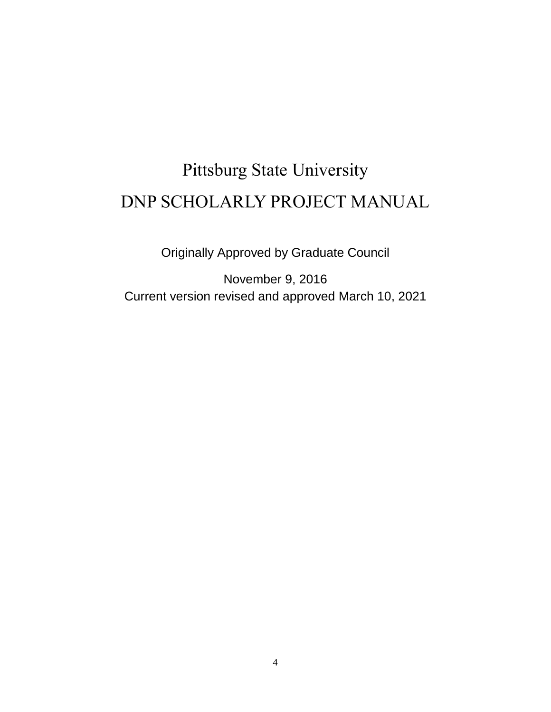# Pittsburg State University DNP SCHOLARLY PROJECT MANUAL

Originally Approved by Graduate Council

November 9, 2016 Current version revised and approved March 10, 2021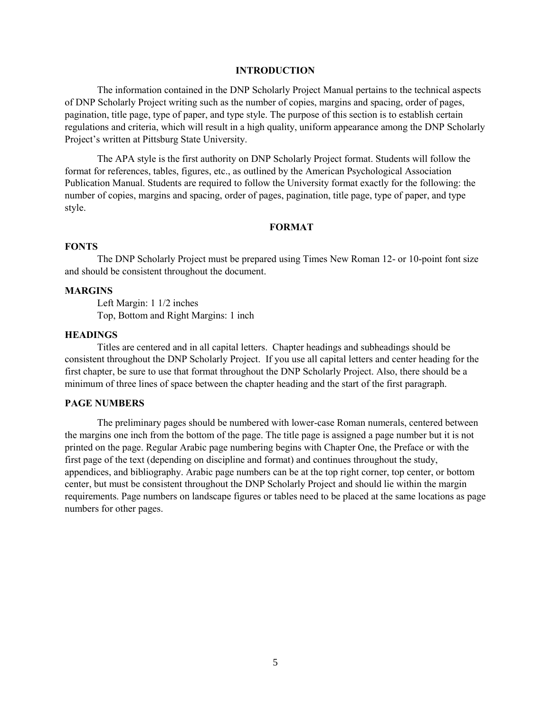#### **INTRODUCTION**

The information contained in the DNP Scholarly Project Manual pertains to the technical aspects of DNP Scholarly Project writing such as the number of copies, margins and spacing, order of pages, pagination, title page, type of paper, and type style. The purpose of this section is to establish certain regulations and criteria, which will result in a high quality, uniform appearance among the DNP Scholarly Project's written at Pittsburg State University.

The APA style is the first authority on DNP Scholarly Project format. Students will follow the format for references, tables, figures, etc., as outlined by the American Psychological Association Publication Manual. Students are required to follow the University format exactly for the following: the number of copies, margins and spacing, order of pages, pagination, title page, type of paper, and type style.

#### **FORMAT**

#### **FONTS**

The DNP Scholarly Project must be prepared using Times New Roman 12- or 10-point font size and should be consistent throughout the document.

#### **MARGINS**

Left Margin: 1 1/2 inches Top, Bottom and Right Margins: 1 inch

#### **HEADINGS**

Titles are centered and in all capital letters. Chapter headings and subheadings should be consistent throughout the DNP Scholarly Project. If you use all capital letters and center heading for the first chapter, be sure to use that format throughout the DNP Scholarly Project. Also, there should be a minimum of three lines of space between the chapter heading and the start of the first paragraph.

#### **PAGE NUMBERS**

The preliminary pages should be numbered with lower-case Roman numerals, centered between the margins one inch from the bottom of the page. The title page is assigned a page number but it is not printed on the page. Regular Arabic page numbering begins with Chapter One, the Preface or with the first page of the text (depending on discipline and format) and continues throughout the study, appendices, and bibliography. Arabic page numbers can be at the top right corner, top center, or bottom center, but must be consistent throughout the DNP Scholarly Project and should lie within the margin requirements. Page numbers on landscape figures or tables need to be placed at the same locations as page numbers for other pages.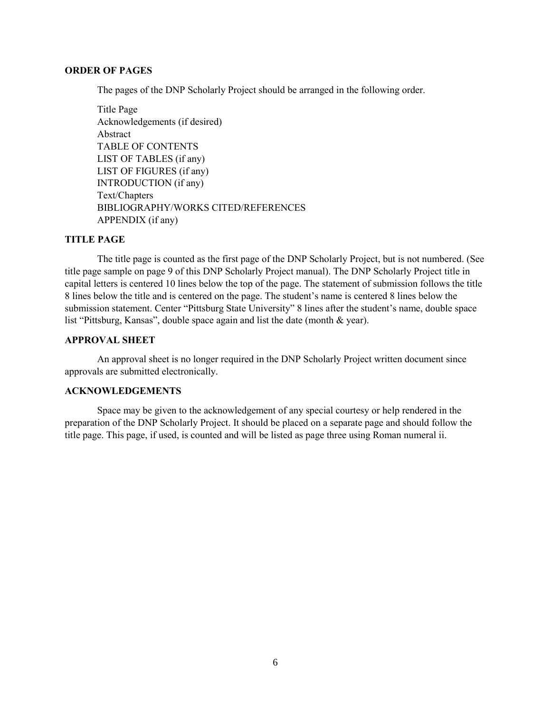#### **ORDER OF PAGES**

The pages of the DNP Scholarly Project should be arranged in the following order.

Title Page Acknowledgements (if desired) Abstract TABLE OF CONTENTS LIST OF TABLES (if any) LIST OF FIGURES (if any) INTRODUCTION (if any) Text/Chapters BIBLIOGRAPHY/WORKS CITED/REFERENCES APPENDIX (if any)

#### **TITLE PAGE**

The title page is counted as the first page of the DNP Scholarly Project, but is not numbered. (See title page sample on page 9 of this DNP Scholarly Project manual). The DNP Scholarly Project title in capital letters is centered 10 lines below the top of the page. The statement of submission follows the title 8 lines below the title and is centered on the page. The student's name is centered 8 lines below the submission statement. Center "Pittsburg State University" 8 lines after the student's name, double space list "Pittsburg, Kansas", double space again and list the date (month & year).

#### **APPROVAL SHEET**

An approval sheet is no longer required in the DNP Scholarly Project written document since approvals are submitted electronically.

#### **ACKNOWLEDGEMENTS**

Space may be given to the acknowledgement of any special courtesy or help rendered in the preparation of the DNP Scholarly Project. It should be placed on a separate page and should follow the title page. This page, if used, is counted and will be listed as page three using Roman numeral ii.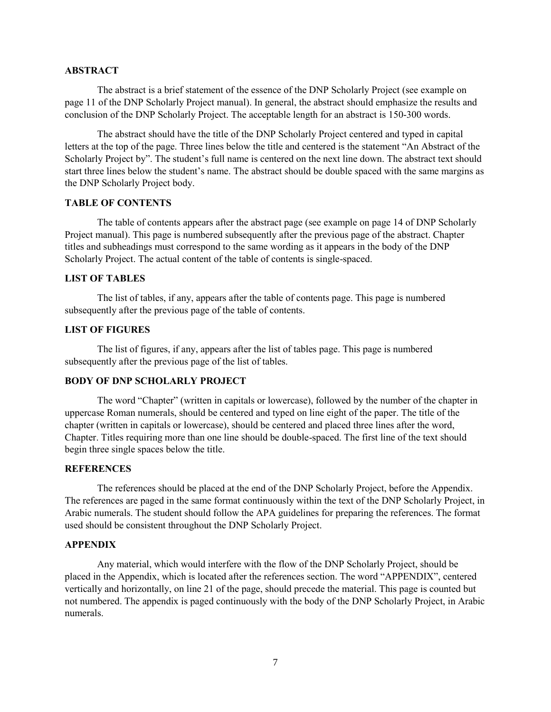#### **ABSTRACT**

The abstract is a brief statement of the essence of the DNP Scholarly Project (see example on page 11 of the DNP Scholarly Project manual). In general, the abstract should emphasize the results and conclusion of the DNP Scholarly Project. The acceptable length for an abstract is 150-300 words.

The abstract should have the title of the DNP Scholarly Project centered and typed in capital letters at the top of the page. Three lines below the title and centered is the statement "An Abstract of the Scholarly Project by". The student's full name is centered on the next line down. The abstract text should start three lines below the student's name. The abstract should be double spaced with the same margins as the DNP Scholarly Project body.

#### **TABLE OF CONTENTS**

The table of contents appears after the abstract page (see example on page 14 of DNP Scholarly Project manual). This page is numbered subsequently after the previous page of the abstract. Chapter titles and subheadings must correspond to the same wording as it appears in the body of the DNP Scholarly Project. The actual content of the table of contents is single-spaced.

#### **LIST OF TABLES**

The list of tables, if any, appears after the table of contents page. This page is numbered subsequently after the previous page of the table of contents.

#### **LIST OF FIGURES**

The list of figures, if any, appears after the list of tables page. This page is numbered subsequently after the previous page of the list of tables.

#### **BODY OF DNP SCHOLARLY PROJECT**

The word "Chapter" (written in capitals or lowercase), followed by the number of the chapter in uppercase Roman numerals, should be centered and typed on line eight of the paper. The title of the chapter (written in capitals or lowercase), should be centered and placed three lines after the word, Chapter. Titles requiring more than one line should be double-spaced. The first line of the text should begin three single spaces below the title.

#### **REFERENCES**

The references should be placed at the end of the DNP Scholarly Project, before the Appendix. The references are paged in the same format continuously within the text of the DNP Scholarly Project, in Arabic numerals. The student should follow the APA guidelines for preparing the references. The format used should be consistent throughout the DNP Scholarly Project.

#### **APPENDIX**

Any material, which would interfere with the flow of the DNP Scholarly Project, should be placed in the Appendix, which is located after the references section. The word "APPENDIX", centered vertically and horizontally, on line 21 of the page, should precede the material. This page is counted but not numbered. The appendix is paged continuously with the body of the DNP Scholarly Project, in Arabic numerals.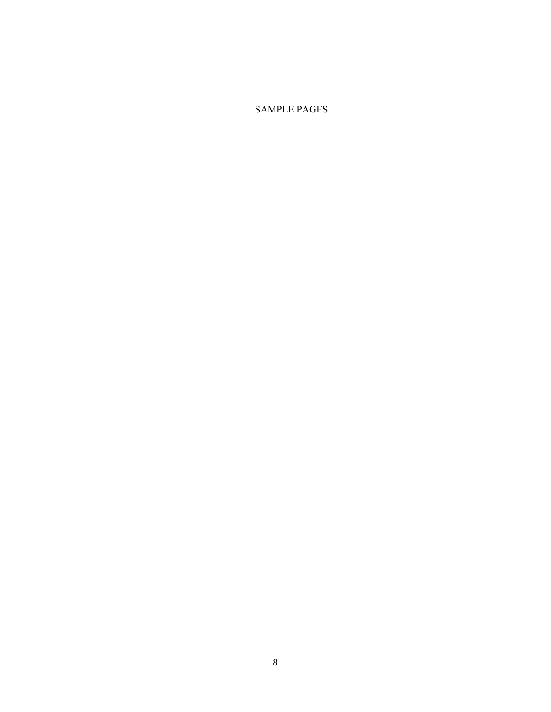SAMPLE PAGES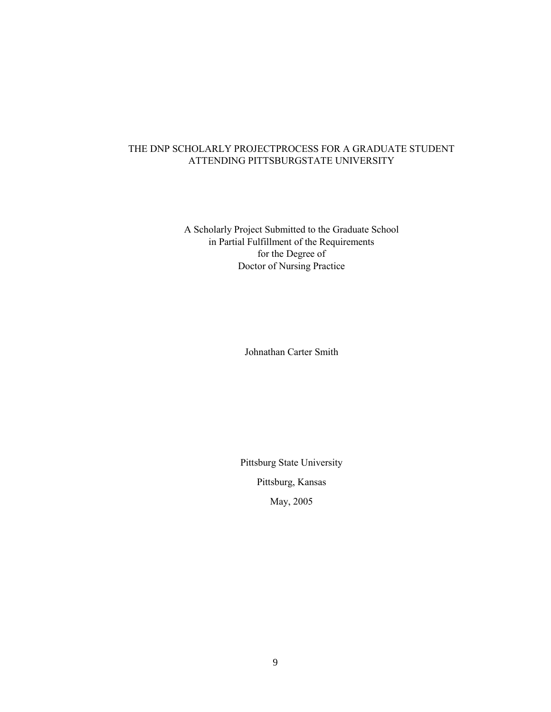### THE DNP SCHOLARLY PROJECTPROCESS FOR A GRADUATE STUDENT ATTENDING PITTSBURGSTATE UNIVERSITY

A Scholarly Project Submitted to the Graduate School in Partial Fulfillment of the Requirements for the Degree of Doctor of Nursing Practice

Johnathan Carter Smith

Pittsburg State University Pittsburg, Kansas May, 2005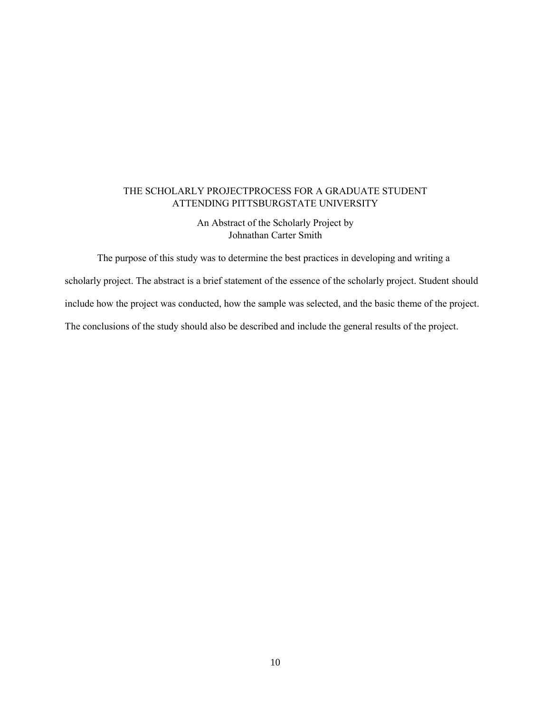### THE SCHOLARLY PROJECTPROCESS FOR A GRADUATE STUDENT ATTENDING PITTSBURGSTATE UNIVERSITY

An Abstract of the Scholarly Project by Johnathan Carter Smith

The purpose of this study was to determine the best practices in developing and writing a scholarly project. The abstract is a brief statement of the essence of the scholarly project. Student should include how the project was conducted, how the sample was selected, and the basic theme of the project. The conclusions of the study should also be described and include the general results of the project.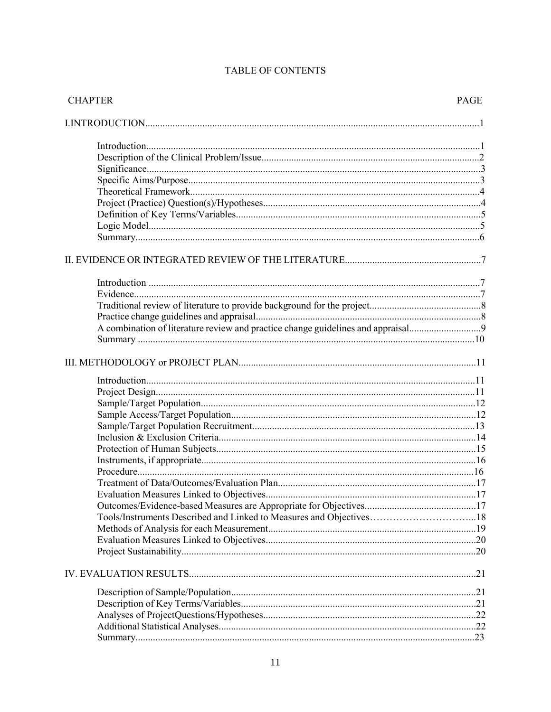| <b>CHAPTER</b>                                                                   | PAGE |
|----------------------------------------------------------------------------------|------|
|                                                                                  |      |
|                                                                                  |      |
|                                                                                  |      |
|                                                                                  |      |
|                                                                                  |      |
|                                                                                  |      |
|                                                                                  |      |
|                                                                                  |      |
|                                                                                  |      |
|                                                                                  |      |
|                                                                                  |      |
|                                                                                  |      |
|                                                                                  |      |
|                                                                                  |      |
|                                                                                  |      |
|                                                                                  |      |
| A combination of literature review and practice change guidelines and appraisal9 |      |
|                                                                                  |      |
|                                                                                  |      |
|                                                                                  |      |
|                                                                                  |      |
|                                                                                  |      |
|                                                                                  |      |
|                                                                                  |      |
|                                                                                  |      |
|                                                                                  |      |
|                                                                                  |      |
|                                                                                  |      |
|                                                                                  |      |
|                                                                                  |      |
|                                                                                  |      |
| Tools/Instruments Described and Linked to Measures and Objectives18              |      |
|                                                                                  |      |
|                                                                                  |      |
|                                                                                  |      |
|                                                                                  |      |
|                                                                                  |      |
|                                                                                  |      |
|                                                                                  |      |
|                                                                                  |      |
|                                                                                  |      |

# TABLE OF CONTENTS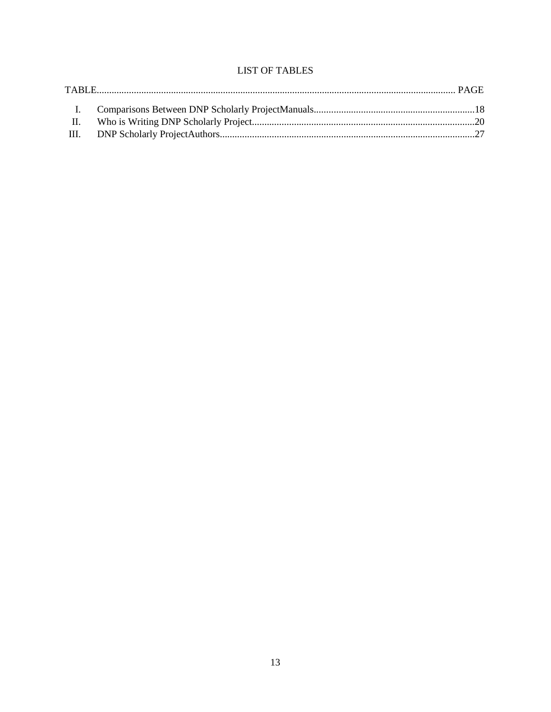# **LIST OF TABLES**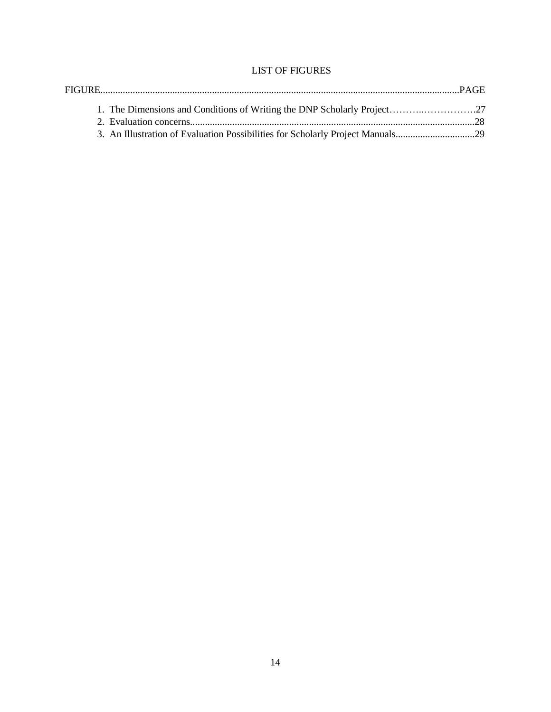# LIST OF FIGURES

| 3. An Illustration of Evaluation Possibilities for Scholarly Project Manuals29 |  |
|--------------------------------------------------------------------------------|--|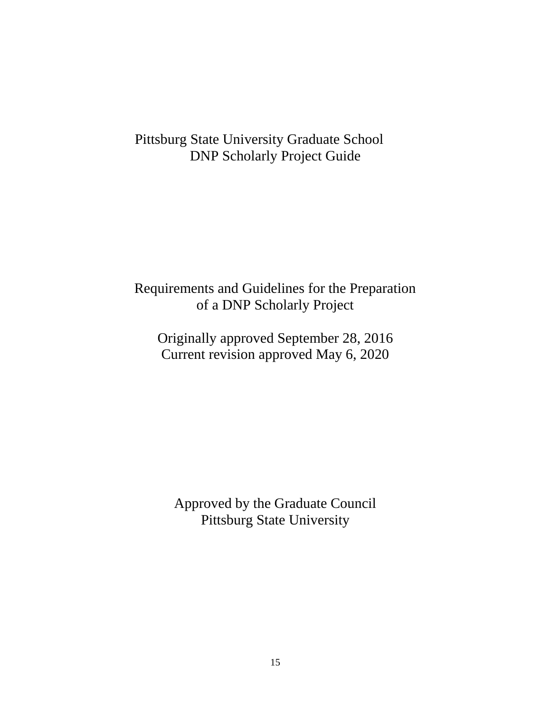# Pittsburg State University Graduate School DNP Scholarly Project Guide

# Requirements and Guidelines for the Preparation of a DNP Scholarly Project

Originally approved September 28, 2016 Current revision approved May 6, 2020

Approved by the Graduate Council Pittsburg State University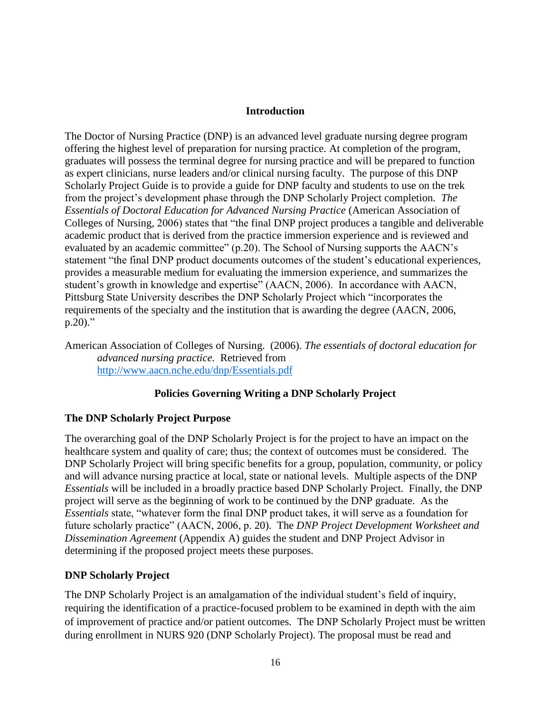# **Introduction**

The Doctor of Nursing Practice (DNP) is an advanced level graduate nursing degree program offering the highest level of preparation for nursing practice. At completion of the program, graduates will possess the terminal degree for nursing practice and will be prepared to function as expert clinicians, nurse leaders and/or clinical nursing faculty. The purpose of this DNP Scholarly Project Guide is to provide a guide for DNP faculty and students to use on the trek from the project's development phase through the DNP Scholarly Project completion. *The Essentials of Doctoral Education for Advanced Nursing Practice* (American Association of Colleges of Nursing, 2006) states that "the final DNP project produces a tangible and deliverable academic product that is derived from the practice immersion experience and is reviewed and evaluated by an academic committee" (p.20). The School of Nursing supports the AACN's statement "the final DNP product documents outcomes of the student's educational experiences, provides a measurable medium for evaluating the immersion experience, and summarizes the student's growth in knowledge and expertise" (AACN, 2006). In accordance with AACN, Pittsburg State University describes the DNP Scholarly Project which "incorporates the requirements of the specialty and the institution that is awarding the degree (AACN, 2006,  $p.20$ )."

American Association of Colleges of Nursing. (2006). *The essentials of doctoral education for advanced nursing practice.* Retrieved from <http://www.aacn.nche.edu/dnp/Essentials.pdf>

# **Policies Governing Writing a DNP Scholarly Project**

# **The DNP Scholarly Project Purpose**

The overarching goal of the DNP Scholarly Project is for the project to have an impact on the healthcare system and quality of care; thus; the context of outcomes must be considered. The DNP Scholarly Project will bring specific benefits for a group, population, community, or policy and will advance nursing practice at local, state or national levels. Multiple aspects of the DNP *Essentials* will be included in a broadly practice based DNP Scholarly Project. Finally, the DNP project will serve as the beginning of work to be continued by the DNP graduate. As the *Essentials* state, "whatever form the final DNP product takes, it will serve as a foundation for future scholarly practice" (AACN, 2006, p. 20). The *DNP Project Development Worksheet and Dissemination Agreement* (Appendix A) guides the student and DNP Project Advisor in determining if the proposed project meets these purposes.

# **DNP Scholarly Project**

The DNP Scholarly Project is an amalgamation of the individual student's field of inquiry, requiring the identification of a practice-focused problem to be examined in depth with the aim of improvement of practice and/or patient outcomes. The DNP Scholarly Project must be written during enrollment in NURS 920 (DNP Scholarly Project). The proposal must be read and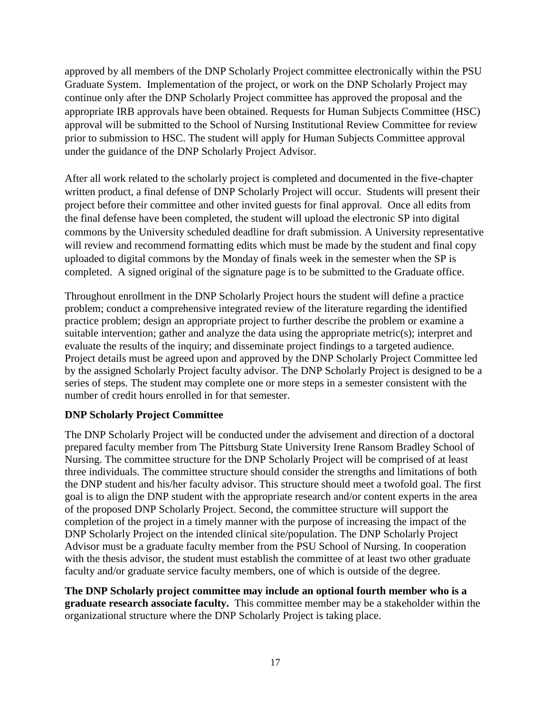approved by all members of the DNP Scholarly Project committee electronically within the PSU Graduate System. Implementation of the project, or work on the DNP Scholarly Project may continue only after the DNP Scholarly Project committee has approved the proposal and the appropriate IRB approvals have been obtained. Requests for Human Subjects Committee (HSC) approval will be submitted to the School of Nursing Institutional Review Committee for review prior to submission to HSC. The student will apply for Human Subjects Committee approval under the guidance of the DNP Scholarly Project Advisor.

After all work related to the scholarly project is completed and documented in the five-chapter written product, a final defense of DNP Scholarly Project will occur. Students will present their project before their committee and other invited guests for final approval. Once all edits from the final defense have been completed, the student will upload the electronic SP into digital commons by the University scheduled deadline for draft submission. A University representative will review and recommend formatting edits which must be made by the student and final copy uploaded to digital commons by the Monday of finals week in the semester when the SP is completed. A signed original of the signature page is to be submitted to the Graduate office.

Throughout enrollment in the DNP Scholarly Project hours the student will define a practice problem; conduct a comprehensive integrated review of the literature regarding the identified practice problem; design an appropriate project to further describe the problem or examine a suitable intervention; gather and analyze the data using the appropriate metric(s); interpret and evaluate the results of the inquiry; and disseminate project findings to a targeted audience. Project details must be agreed upon and approved by the DNP Scholarly Project Committee led by the assigned Scholarly Project faculty advisor. The DNP Scholarly Project is designed to be a series of steps. The student may complete one or more steps in a semester consistent with the number of credit hours enrolled in for that semester.

# **DNP Scholarly Project Committee**

The DNP Scholarly Project will be conducted under the advisement and direction of a doctoral prepared faculty member from The Pittsburg State University Irene Ransom Bradley School of Nursing. The committee structure for the DNP Scholarly Project will be comprised of at least three individuals. The committee structure should consider the strengths and limitations of both the DNP student and his/her faculty advisor. This structure should meet a twofold goal. The first goal is to align the DNP student with the appropriate research and/or content experts in the area of the proposed DNP Scholarly Project. Second, the committee structure will support the completion of the project in a timely manner with the purpose of increasing the impact of the DNP Scholarly Project on the intended clinical site/population. The DNP Scholarly Project Advisor must be a graduate faculty member from the PSU School of Nursing. In cooperation with the thesis advisor, the student must establish the committee of at least two other graduate faculty and/or graduate service faculty members, one of which is outside of the degree.

**The DNP Scholarly project committee may include an optional fourth member who is a graduate research associate faculty.** This committee member may be a stakeholder within the organizational structure where the DNP Scholarly Project is taking place.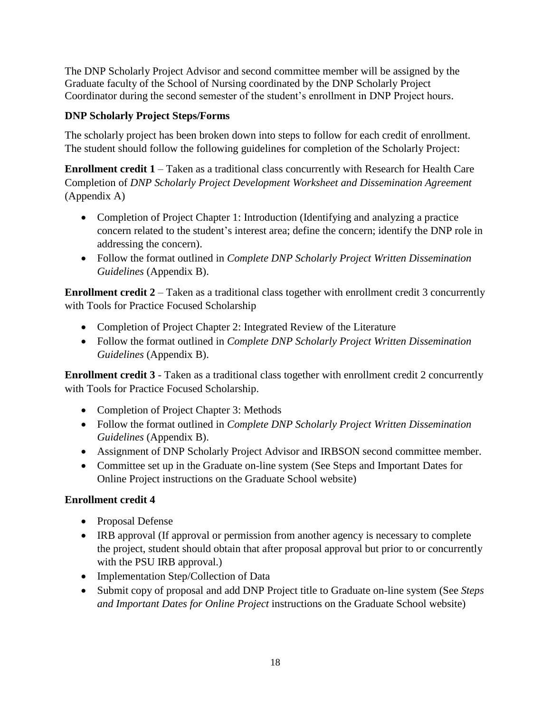The DNP Scholarly Project Advisor and second committee member will be assigned by the Graduate faculty of the School of Nursing coordinated by the DNP Scholarly Project Coordinator during the second semester of the student's enrollment in DNP Project hours.

# **DNP Scholarly Project Steps/Forms**

The scholarly project has been broken down into steps to follow for each credit of enrollment. The student should follow the following guidelines for completion of the Scholarly Project:

**Enrollment credit 1** – Taken as a traditional class concurrently with Research for Health Care Completion of *DNP Scholarly Project Development Worksheet and Dissemination Agreement*  (Appendix A)

- Completion of Project Chapter 1: Introduction (Identifying and analyzing a practice concern related to the student's interest area; define the concern; identify the DNP role in addressing the concern).
- Follow the format outlined in *Complete DNP Scholarly Project Written Dissemination Guidelines* (Appendix B).

**Enrollment credit 2** – Taken as a traditional class together with enrollment credit 3 concurrently with Tools for Practice Focused Scholarship

- Completion of Project Chapter 2: Integrated Review of the Literature
- Follow the format outlined in *Complete DNP Scholarly Project Written Dissemination Guidelines* (Appendix B).

**Enrollment credit 3** - Taken as a traditional class together with enrollment credit 2 concurrently with Tools for Practice Focused Scholarship.

- Completion of Project Chapter 3: Methods
- Follow the format outlined in *Complete DNP Scholarly Project Written Dissemination Guidelines* (Appendix B).
- Assignment of DNP Scholarly Project Advisor and IRBSON second committee member.
- Committee set up in the Graduate on-line system (See Steps and Important Dates for Online Project instructions on the Graduate School website)

# **Enrollment credit 4**

- Proposal Defense
- IRB approval (If approval or permission from another agency is necessary to complete the project, student should obtain that after proposal approval but prior to or concurrently with the PSU IRB approval.)
- Implementation Step/Collection of Data
- Submit copy of proposal and add DNP Project title to Graduate on-line system (See *Steps and Important Dates for Online Project* instructions on the Graduate School website)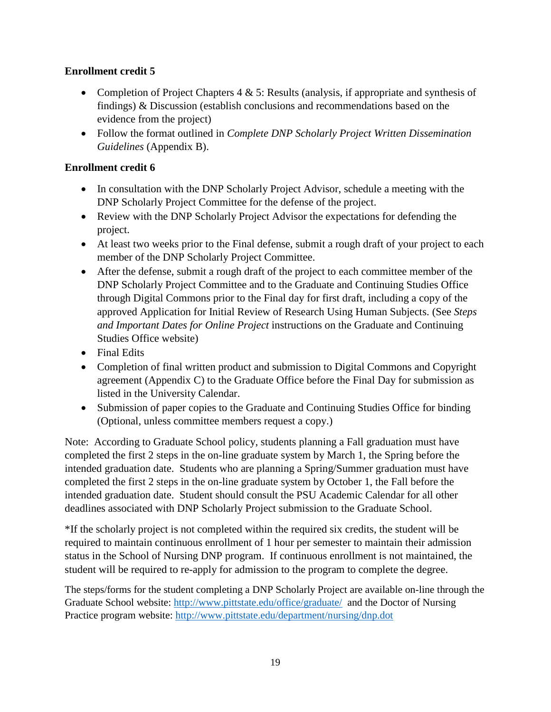# **Enrollment credit 5**

- Completion of Project Chapters  $4 \& 5$ : Results (analysis, if appropriate and synthesis of findings) & Discussion (establish conclusions and recommendations based on the evidence from the project)
- Follow the format outlined in *Complete DNP Scholarly Project Written Dissemination Guidelines* (Appendix B).

# **Enrollment credit 6**

- In consultation with the DNP Scholarly Project Advisor, schedule a meeting with the DNP Scholarly Project Committee for the defense of the project.
- Review with the DNP Scholarly Project Advisor the expectations for defending the project.
- At least two weeks prior to the Final defense, submit a rough draft of your project to each member of the DNP Scholarly Project Committee.
- After the defense, submit a rough draft of the project to each committee member of the DNP Scholarly Project Committee and to the Graduate and Continuing Studies Office through Digital Commons prior to the Final day for first draft, including a copy of the approved Application for Initial Review of Research Using Human Subjects. (See *Steps and Important Dates for Online Project* instructions on the Graduate and Continuing Studies Office website)
- Final Edits
- Completion of final written product and submission to Digital Commons and Copyright agreement (Appendix C) to the Graduate Office before the Final Day for submission as listed in the University Calendar.
- Submission of paper copies to the Graduate and Continuing Studies Office for binding (Optional, unless committee members request a copy.)

Note: According to Graduate School policy, students planning a Fall graduation must have completed the first 2 steps in the on-line graduate system by March 1, the Spring before the intended graduation date. Students who are planning a Spring/Summer graduation must have completed the first 2 steps in the on-line graduate system by October 1, the Fall before the intended graduation date. Student should consult the PSU Academic Calendar for all other deadlines associated with DNP Scholarly Project submission to the Graduate School.

\*If the scholarly project is not completed within the required six credits, the student will be required to maintain continuous enrollment of 1 hour per semester to maintain their admission status in the School of Nursing DNP program. If continuous enrollment is not maintained, the student will be required to re-apply for admission to the program to complete the degree.

The steps/forms for the student completing a DNP Scholarly Project are available on-line through the Graduate School website:<http://www.pittstate.edu/office/graduate/> and the Doctor of Nursing Practice program website:<http://www.pittstate.edu/department/nursing/dnp.dot>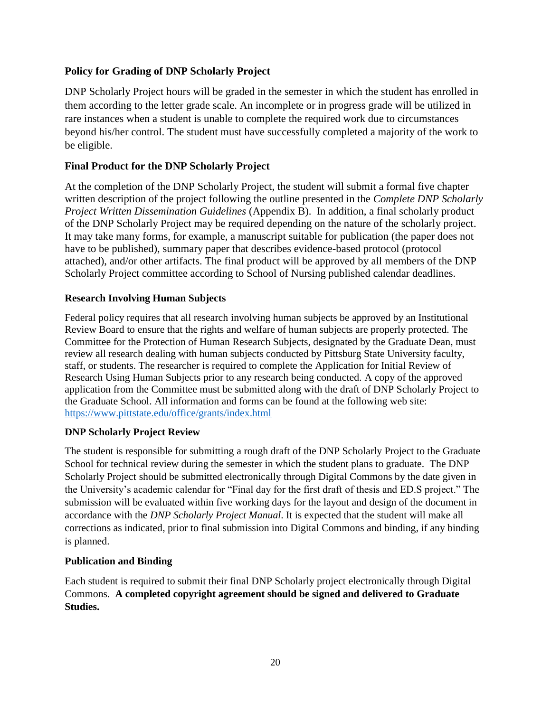# **Policy for Grading of DNP Scholarly Project**

DNP Scholarly Project hours will be graded in the semester in which the student has enrolled in them according to the letter grade scale. An incomplete or in progress grade will be utilized in rare instances when a student is unable to complete the required work due to circumstances beyond his/her control. The student must have successfully completed a majority of the work to be eligible.

# **Final Product for the DNP Scholarly Project**

At the completion of the DNP Scholarly Project, the student will submit a formal five chapter written description of the project following the outline presented in the *Complete DNP Scholarly Project Written Dissemination Guidelines* (Appendix B). In addition, a final scholarly product of the DNP Scholarly Project may be required depending on the nature of the scholarly project. It may take many forms, for example, a manuscript suitable for publication (the paper does not have to be published), summary paper that describes evidence-based protocol (protocol attached), and/or other artifacts. The final product will be approved by all members of the DNP Scholarly Project committee according to School of Nursing published calendar deadlines.

# **Research Involving Human Subjects**

Federal policy requires that all research involving human subjects be approved by an Institutional Review Board to ensure that the rights and welfare of human subjects are properly protected. The Committee for the Protection of Human Research Subjects, designated by the Graduate Dean, must review all research dealing with human subjects conducted by Pittsburg State University faculty, staff, or students. The researcher is required to complete the Application for Initial Review of Research Using Human Subjects prior to any research being conducted. A copy of the approved application from the Committee must be submitted along with the draft of DNP Scholarly Project to the Graduate School. All information and forms can be found at the following web site: <https://www.pittstate.edu/office/grants/index.html>

# **DNP Scholarly Project Review**

The student is responsible for submitting a rough draft of the DNP Scholarly Project to the Graduate School for technical review during the semester in which the student plans to graduate. The DNP Scholarly Project should be submitted electronically through Digital Commons by the date given in the University's academic calendar for "Final day for the first draft of thesis and ED.S project." The submission will be evaluated within five working days for the layout and design of the document in accordance with the *DNP Scholarly Project Manual*. It is expected that the student will make all corrections as indicated, prior to final submission into Digital Commons and binding, if any binding is planned.

# **Publication and Binding**

Each student is required to submit their final DNP Scholarly project electronically through Digital Commons. **A completed copyright agreement should be signed and delivered to Graduate Studies.**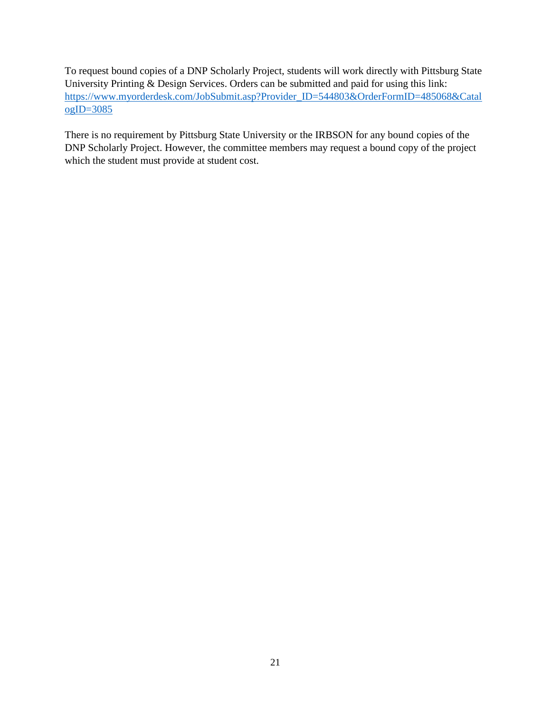To request bound copies of a DNP Scholarly Project, students will work directly with Pittsburg State University Printing & Design Services. Orders can be submitted and paid for using this link: [https://www.myorderdesk.com/JobSubmit.asp?Provider\\_ID=544803&OrderFormID=485068&Catal](https://www.myorderdesk.com/JobSubmit.asp?Provider_ID=544803&OrderFormID=485068&CatalogID=3085) [ogID=3085](https://www.myorderdesk.com/JobSubmit.asp?Provider_ID=544803&OrderFormID=485068&CatalogID=3085)

There is no requirement by Pittsburg State University or the IRBSON for any bound copies of the DNP Scholarly Project. However, the committee members may request a bound copy of the project which the student must provide at student cost.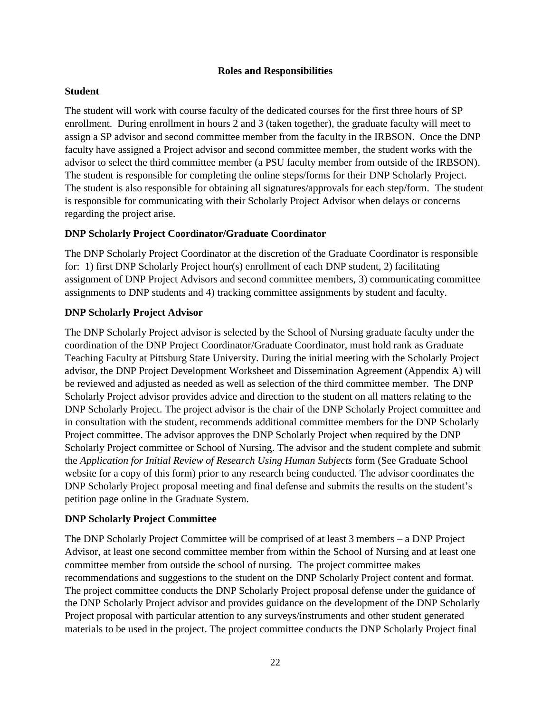#### **Roles and Responsibilities**

### **Student**

The student will work with course faculty of the dedicated courses for the first three hours of SP enrollment. During enrollment in hours 2 and 3 (taken together), the graduate faculty will meet to assign a SP advisor and second committee member from the faculty in the IRBSON. Once the DNP faculty have assigned a Project advisor and second committee member, the student works with the advisor to select the third committee member (a PSU faculty member from outside of the IRBSON). The student is responsible for completing the online steps/forms for their DNP Scholarly Project. The student is also responsible for obtaining all signatures/approvals for each step/form. The student is responsible for communicating with their Scholarly Project Advisor when delays or concerns regarding the project arise.

# **DNP Scholarly Project Coordinator/Graduate Coordinator**

The DNP Scholarly Project Coordinator at the discretion of the Graduate Coordinator is responsible for: 1) first DNP Scholarly Project hour(s) enrollment of each DNP student, 2) facilitating assignment of DNP Project Advisors and second committee members, 3) communicating committee assignments to DNP students and 4) tracking committee assignments by student and faculty.

# **DNP Scholarly Project Advisor**

The DNP Scholarly Project advisor is selected by the School of Nursing graduate faculty under the coordination of the DNP Project Coordinator/Graduate Coordinator, must hold rank as Graduate Teaching Faculty at Pittsburg State University. During the initial meeting with the Scholarly Project advisor, the DNP Project Development Worksheet and Dissemination Agreement (Appendix A) will be reviewed and adjusted as needed as well as selection of the third committee member. The DNP Scholarly Project advisor provides advice and direction to the student on all matters relating to the DNP Scholarly Project. The project advisor is the chair of the DNP Scholarly Project committee and in consultation with the student, recommends additional committee members for the DNP Scholarly Project committee. The advisor approves the DNP Scholarly Project when required by the DNP Scholarly Project committee or School of Nursing. The advisor and the student complete and submit the *Application for Initial Review of Research Using Human Subjects* form (See Graduate School website for a copy of this form) prior to any research being conducted. The advisor coordinates the DNP Scholarly Project proposal meeting and final defense and submits the results on the student's petition page online in the Graduate System.

# **DNP Scholarly Project Committee**

The DNP Scholarly Project Committee will be comprised of at least 3 members – a DNP Project Advisor, at least one second committee member from within the School of Nursing and at least one committee member from outside the school of nursing. The project committee makes recommendations and suggestions to the student on the DNP Scholarly Project content and format. The project committee conducts the DNP Scholarly Project proposal defense under the guidance of the DNP Scholarly Project advisor and provides guidance on the development of the DNP Scholarly Project proposal with particular attention to any surveys/instruments and other student generated materials to be used in the project. The project committee conducts the DNP Scholarly Project final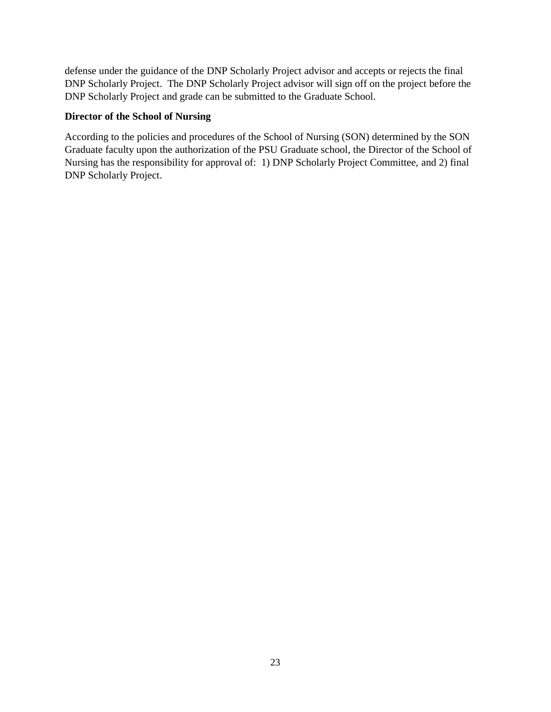defense under the guidance of the DNP Scholarly Project advisor and accepts or rejects the final DNP Scholarly Project. The DNP Scholarly Project advisor will sign off on the project before the DNP Scholarly Project and grade can be submitted to the Graduate School.

### **Director of the School of Nursing**

According to the policies and procedures of the School of Nursing (SON) determined by the SON Graduate faculty upon the authorization of the PSU Graduate school, the Director of the School of Nursing has the responsibility for approval of: 1) DNP Scholarly Project Committee, and 2) final DNP Scholarly Project.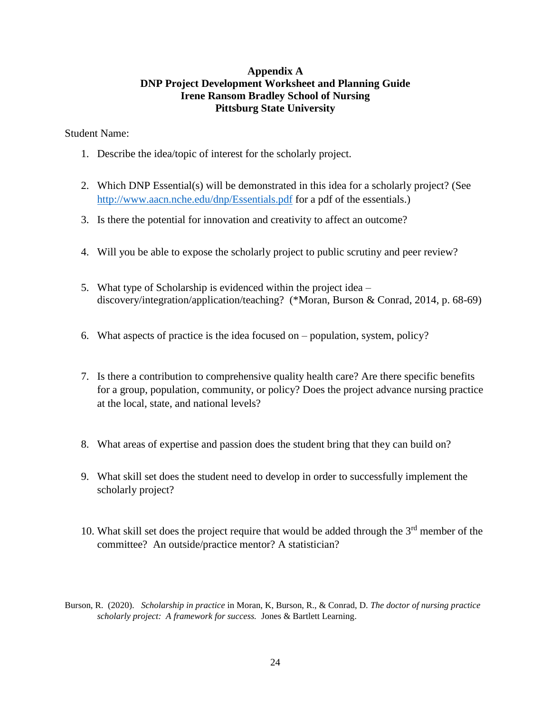# **Appendix A DNP Project Development Worksheet and Planning Guide Irene Ransom Bradley School of Nursing Pittsburg State University**

Student Name:

- 1. Describe the idea/topic of interest for the scholarly project.
- 2. Which DNP Essential(s) will be demonstrated in this idea for a scholarly project? (See <http://www.aacn.nche.edu/dnp/Essentials.pdf> for a pdf of the essentials.)
- 3. Is there the potential for innovation and creativity to affect an outcome?
- 4. Will you be able to expose the scholarly project to public scrutiny and peer review?
- 5. What type of Scholarship is evidenced within the project idea discovery/integration/application/teaching? (\*Moran, Burson & Conrad, 2014, p. 68-69)
- 6. What aspects of practice is the idea focused on population, system, policy?
- 7. Is there a contribution to comprehensive quality health care? Are there specific benefits for a group, population, community, or policy? Does the project advance nursing practice at the local, state, and national levels?
- 8. What areas of expertise and passion does the student bring that they can build on?
- 9. What skill set does the student need to develop in order to successfully implement the scholarly project?
- 10. What skill set does the project require that would be added through the 3rd member of the committee? An outside/practice mentor? A statistician?
- Burson, R. (2020). *Scholarship in practice* in Moran, K, Burson, R., & Conrad, D. *The doctor of nursing practice scholarly project: A framework for success.* Jones & Bartlett Learning.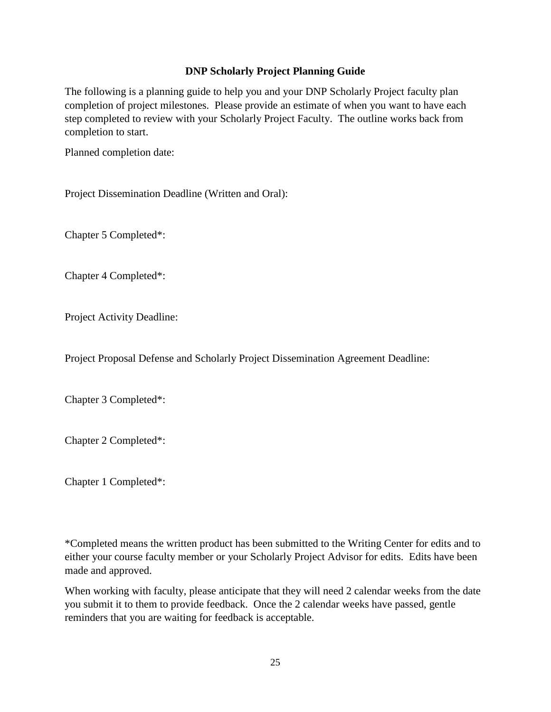# **DNP Scholarly Project Planning Guide**

The following is a planning guide to help you and your DNP Scholarly Project faculty plan completion of project milestones. Please provide an estimate of when you want to have each step completed to review with your Scholarly Project Faculty. The outline works back from completion to start.

Planned completion date:

Project Dissemination Deadline (Written and Oral):

Chapter 5 Completed\*:

Chapter 4 Completed\*:

Project Activity Deadline:

Project Proposal Defense and Scholarly Project Dissemination Agreement Deadline:

Chapter 3 Completed\*:

Chapter 2 Completed\*:

Chapter 1 Completed\*:

\*Completed means the written product has been submitted to the Writing Center for edits and to either your course faculty member or your Scholarly Project Advisor for edits. Edits have been made and approved.

When working with faculty, please anticipate that they will need 2 calendar weeks from the date you submit it to them to provide feedback. Once the 2 calendar weeks have passed, gentle reminders that you are waiting for feedback is acceptable.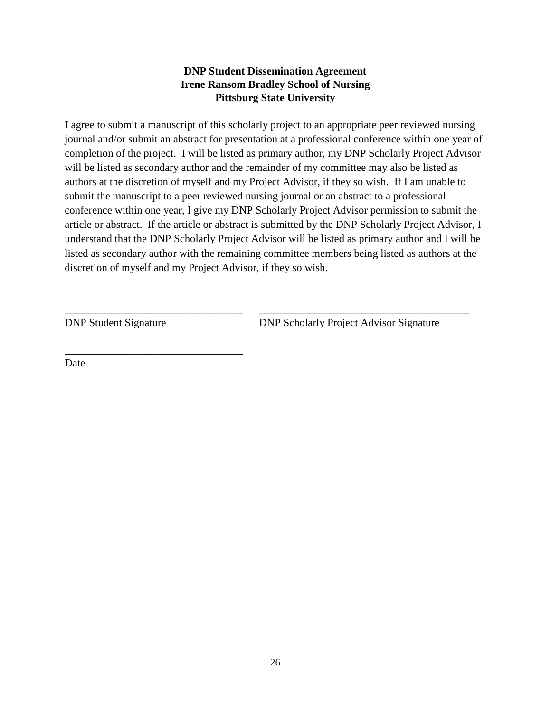# **DNP Student Dissemination Agreement Irene Ransom Bradley School of Nursing Pittsburg State University**

I agree to submit a manuscript of this scholarly project to an appropriate peer reviewed nursing journal and/or submit an abstract for presentation at a professional conference within one year of completion of the project. I will be listed as primary author, my DNP Scholarly Project Advisor will be listed as secondary author and the remainder of my committee may also be listed as authors at the discretion of myself and my Project Advisor, if they so wish. If I am unable to submit the manuscript to a peer reviewed nursing journal or an abstract to a professional conference within one year, I give my DNP Scholarly Project Advisor permission to submit the article or abstract. If the article or abstract is submitted by the DNP Scholarly Project Advisor, I understand that the DNP Scholarly Project Advisor will be listed as primary author and I will be listed as secondary author with the remaining committee members being listed as authors at the discretion of myself and my Project Advisor, if they so wish.

\_\_\_\_\_\_\_\_\_\_\_\_\_\_\_\_\_\_\_\_\_\_\_\_\_\_\_\_\_\_\_\_\_ \_\_\_\_\_\_\_\_\_\_\_\_\_\_\_\_\_\_\_\_\_\_\_\_\_\_\_\_\_\_\_\_\_\_\_\_\_\_\_

\_\_\_\_\_\_\_\_\_\_\_\_\_\_\_\_\_\_\_\_\_\_\_\_\_\_\_\_\_\_\_\_\_

DNP Student Signature DNP Scholarly Project Advisor Signature

Date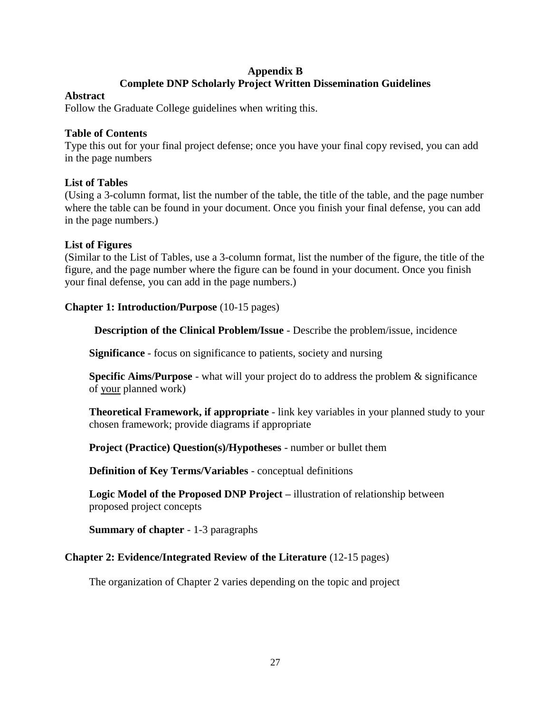# **Appendix B Complete DNP Scholarly Project Written Dissemination Guidelines**

### **Abstract**

Follow the Graduate College guidelines when writing this.

# **Table of Contents**

Type this out for your final project defense; once you have your final copy revised, you can add in the page numbers

# **List of Tables**

(Using a 3-column format, list the number of the table, the title of the table, and the page number where the table can be found in your document. Once you finish your final defense, you can add in the page numbers.)

# **List of Figures**

(Similar to the List of Tables, use a 3-column format, list the number of the figure, the title of the figure, and the page number where the figure can be found in your document. Once you finish your final defense, you can add in the page numbers.)

# **Chapter 1: Introduction/Purpose** (10-15 pages)

 **Description of the Clinical Problem/Issue** - Describe the problem/issue, incidence

**Significance** - focus on significance to patients, society and nursing

**Specific Aims/Purpose** - what will your project do to address the problem & significance of your planned work)

**Theoretical Framework, if appropriate** - link key variables in your planned study to your chosen framework; provide diagrams if appropriate

**Project (Practice) Question(s)/Hypotheses** - number or bullet them

**Definition of Key Terms/Variables** - conceptual definitions

**Logic Model of the Proposed DNP Project –** illustration of relationship between proposed project concepts

**Summary of chapter** - 1-3 paragraphs

# **Chapter 2: Evidence/Integrated Review of the Literature** (12-15 pages)

The organization of Chapter 2 varies depending on the topic and project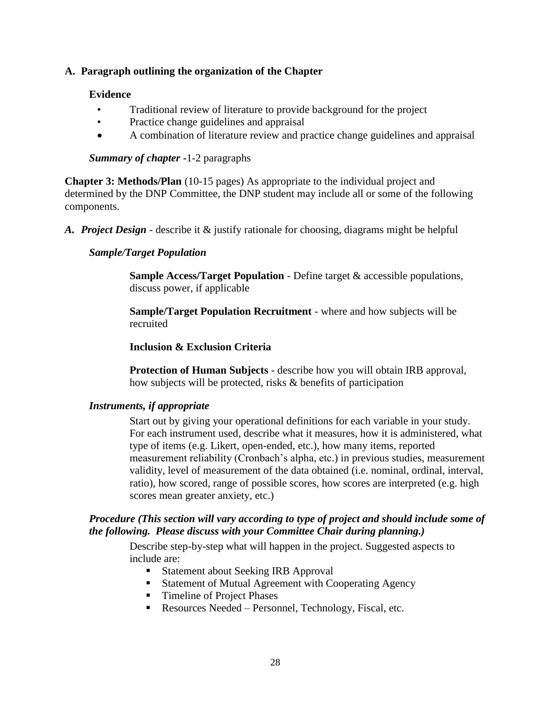# **A. Paragraph outlining the organization of the Chapter**

### **Evidence**

- Traditional review of literature to provide background for the project
- Practice change guidelines and appraisal
- A combination of literature review and practice change guidelines and appraisal

# *Summary of chapter* **-**1-2 paragraphs

**Chapter 3: Methods/Plan** (10-15 pages) As appropriate to the individual project and determined by the DNP Committee, the DNP student may include all or some of the following components.

*A. Project Design* - describe it & justify rationale for choosing, diagrams might be helpful

# *Sample/Target Population*

**Sample Access/Target Population** - Define target & accessible populations, discuss power, if applicable

**Sample/Target Population Recruitment** - where and how subjects will be recruited

# **Inclusion & Exclusion Criteria**

**Protection of Human Subjects** - describe how you will obtain IRB approval, how subjects will be protected, risks & benefits of participation

# *Instruments, if appropriate*

Start out by giving your operational definitions for each variable in your study. For each instrument used, describe what it measures, how it is administered, what type of items (e.g. Likert, open-ended, etc.), how many items, reported measurement reliability (Cronbach's alpha, etc.) in previous studies, measurement validity, level of measurement of the data obtained (i.e. nominal, ordinal, interval, ratio), how scored, range of possible scores, how scores are interpreted (e.g. high scores mean greater anxiety, etc.)

# *Procedure (This section will vary according to type of project and should include some of the following. Please discuss with your Committee Chair during planning.)*

Describe step-by-step what will happen in the project. Suggested aspects to include are:

- Statement about Seeking IRB Approval
- Statement of Mutual Agreement with Cooperating Agency
- Timeline of Project Phases
- Resources Needed Personnel, Technology, Fiscal, etc.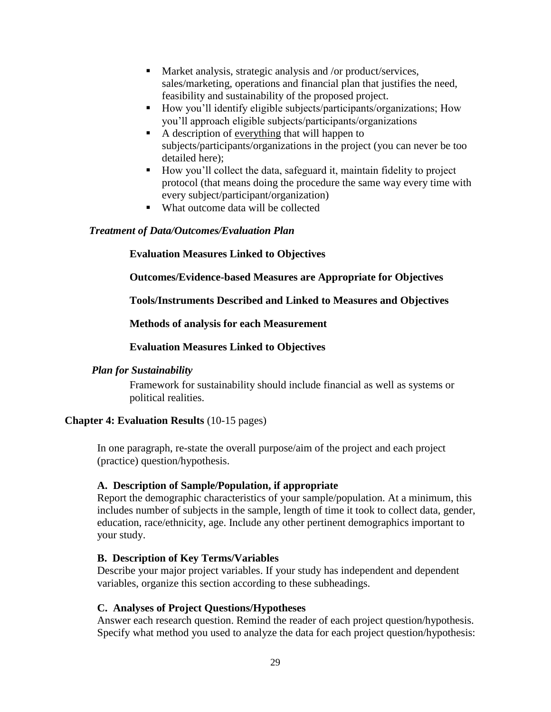- Market analysis, strategic analysis and /or product/services, sales/marketing, operations and financial plan that justifies the need, feasibility and sustainability of the proposed project.
- How you'll identify eligible subjects/participants/organizations; How you'll approach eligible subjects/participants/organizations
- A description of <u>everything</u> that will happen to subjects/participants/organizations in the project (you can never be too detailed here);
- How you'll collect the data, safeguard it, maintain fidelity to project protocol (that means doing the procedure the same way every time with every subject/participant/organization)
- What outcome data will be collected

# *Treatment of Data/Outcomes/Evaluation Plan*

# **Evaluation Measures Linked to Objectives**

**Outcomes/Evidence-based Measures are Appropriate for Objectives**

**Tools/Instruments Described and Linked to Measures and Objectives**

# **Methods of analysis for each Measurement**

# **Evaluation Measures Linked to Objectives**

### *Plan for Sustainability*

Framework for sustainability should include financial as well as systems or political realities.

### **Chapter 4: Evaluation Results** (10-15 pages)

In one paragraph, re-state the overall purpose/aim of the project and each project (practice) question/hypothesis.

### **A. Description of Sample/Population, if appropriate**

Report the demographic characteristics of your sample/population. At a minimum, this includes number of subjects in the sample, length of time it took to collect data, gender, education, race/ethnicity, age. Include any other pertinent demographics important to your study.

### **B. Description of Key Terms/Variables**

Describe your major project variables. If your study has independent and dependent variables, organize this section according to these subheadings.

### **C. Analyses of Project Questions/Hypotheses**

Answer each research question. Remind the reader of each project question/hypothesis. Specify what method you used to analyze the data for each project question/hypothesis: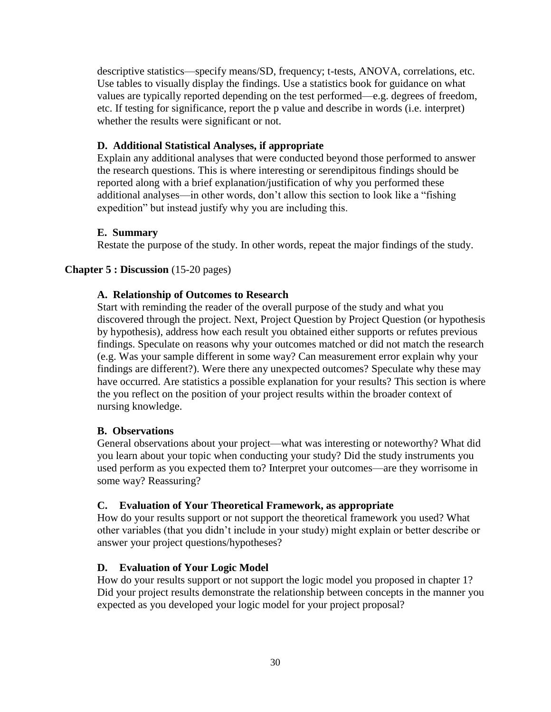descriptive statistics—specify means/SD, frequency; t-tests, ANOVA, correlations, etc. Use tables to visually display the findings. Use a statistics book for guidance on what values are typically reported depending on the test performed—e.g. degrees of freedom, etc. If testing for significance, report the p value and describe in words (i.e. interpret) whether the results were significant or not.

### **D. Additional Statistical Analyses, if appropriate**

Explain any additional analyses that were conducted beyond those performed to answer the research questions. This is where interesting or serendipitous findings should be reported along with a brief explanation/justification of why you performed these additional analyses—in other words, don't allow this section to look like a "fishing expedition" but instead justify why you are including this.

#### **E. Summary**

Restate the purpose of the study. In other words, repeat the major findings of the study.

#### **Chapter 5 : Discussion** (15-20 pages)

#### **A. Relationship of Outcomes to Research**

Start with reminding the reader of the overall purpose of the study and what you discovered through the project. Next, Project Question by Project Question (or hypothesis by hypothesis), address how each result you obtained either supports or refutes previous findings. Speculate on reasons why your outcomes matched or did not match the research (e.g. Was your sample different in some way? Can measurement error explain why your findings are different?). Were there any unexpected outcomes? Speculate why these may have occurred. Are statistics a possible explanation for your results? This section is where the you reflect on the position of your project results within the broader context of nursing knowledge.

#### **B. Observations**

General observations about your project—what was interesting or noteworthy? What did you learn about your topic when conducting your study? Did the study instruments you used perform as you expected them to? Interpret your outcomes—are they worrisome in some way? Reassuring?

#### **C. Evaluation of Your Theoretical Framework, as appropriate**

How do your results support or not support the theoretical framework you used? What other variables (that you didn't include in your study) might explain or better describe or answer your project questions/hypotheses?

### **D. Evaluation of Your Logic Model**

How do your results support or not support the logic model you proposed in chapter 1? Did your project results demonstrate the relationship between concepts in the manner you expected as you developed your logic model for your project proposal?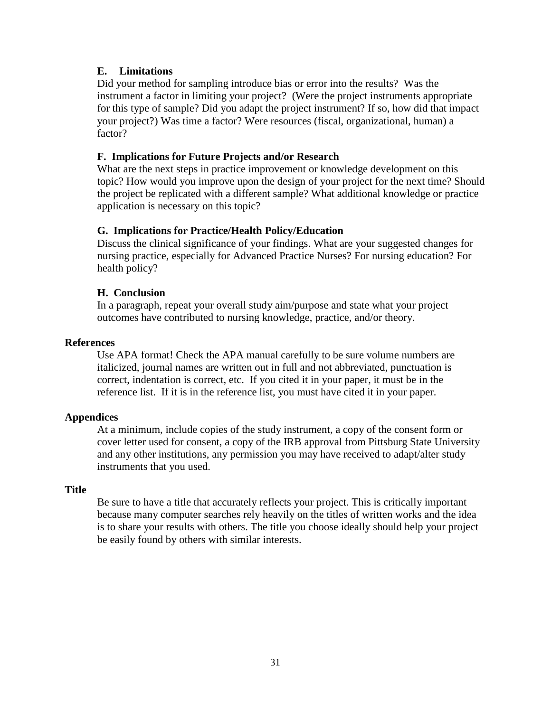# **E. Limitations**

Did your method for sampling introduce bias or error into the results? Was the instrument a factor in limiting your project? (Were the project instruments appropriate for this type of sample? Did you adapt the project instrument? If so, how did that impact your project?) Was time a factor? Were resources (fiscal, organizational, human) a factor?

# **F. Implications for Future Projects and/or Research**

What are the next steps in practice improvement or knowledge development on this topic? How would you improve upon the design of your project for the next time? Should the project be replicated with a different sample? What additional knowledge or practice application is necessary on this topic?

### **G. Implications for Practice/Health Policy/Education**

Discuss the clinical significance of your findings. What are your suggested changes for nursing practice, especially for Advanced Practice Nurses? For nursing education? For health policy?

### **H. Conclusion**

In a paragraph, repeat your overall study aim/purpose and state what your project outcomes have contributed to nursing knowledge, practice, and/or theory.

### **References**

Use APA format! Check the APA manual carefully to be sure volume numbers are italicized, journal names are written out in full and not abbreviated, punctuation is correct, indentation is correct, etc. If you cited it in your paper, it must be in the reference list. If it is in the reference list, you must have cited it in your paper.

### **Appendices**

At a minimum, include copies of the study instrument, a copy of the consent form or cover letter used for consent, a copy of the IRB approval from Pittsburg State University and any other institutions, any permission you may have received to adapt/alter study instruments that you used.

### **Title**

Be sure to have a title that accurately reflects your project. This is critically important because many computer searches rely heavily on the titles of written works and the idea is to share your results with others. The title you choose ideally should help your project be easily found by others with similar interests.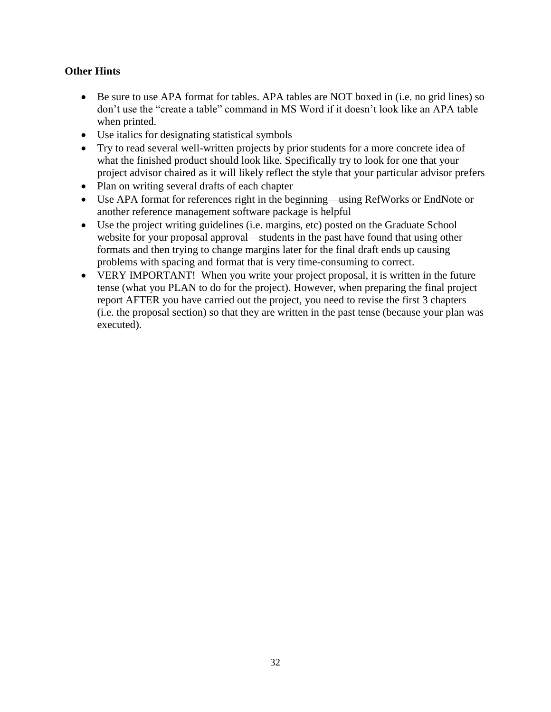# **Other Hints**

- Be sure to use APA format for tables. APA tables are NOT boxed in (i.e. no grid lines) so don't use the "create a table" command in MS Word if it doesn't look like an APA table when printed.
- Use italics for designating statistical symbols
- Try to read several well-written projects by prior students for a more concrete idea of what the finished product should look like. Specifically try to look for one that your project advisor chaired as it will likely reflect the style that your particular advisor prefers
- Plan on writing several drafts of each chapter
- Use APA format for references right in the beginning—using RefWorks or EndNote or another reference management software package is helpful
- Use the project writing guidelines (i.e. margins, etc) posted on the Graduate School website for your proposal approval—students in the past have found that using other formats and then trying to change margins later for the final draft ends up causing problems with spacing and format that is very time-consuming to correct.
- VERY IMPORTANT! When you write your project proposal, it is written in the future tense (what you PLAN to do for the project). However, when preparing the final project report AFTER you have carried out the project, you need to revise the first 3 chapters (i.e. the proposal section) so that they are written in the past tense (because your plan was executed).